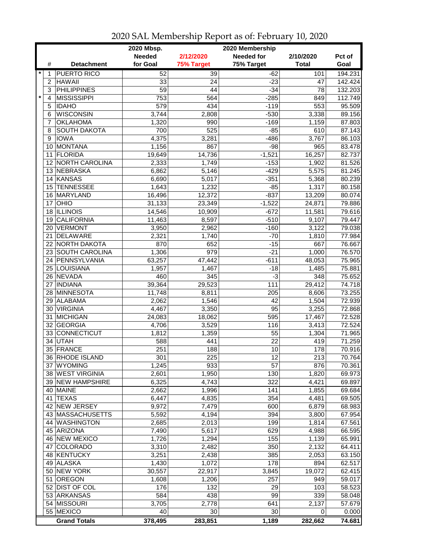|              |                            | 2020 Mbsp.      |                  | 2020 Membership   |                 |         |
|--------------|----------------------------|-----------------|------------------|-------------------|-----------------|---------|
|              |                            | <b>Needed</b>   | 2/12/2020        | <b>Needed for</b> | 2/10/2020       | Pct of  |
| #            | <b>Detachment</b>          | for Goal        | 75% Target       | 75% Target        | <b>Total</b>    | Goal    |
| $\star$<br>1 | <b>PUERTO RICO</b>         | 52              | $\overline{39}$  | $-62$             | 101             | 194.231 |
| 2            | <b>HAWAII</b>              | 33              | 24               | $-23$             | 47              | 142.424 |
| 3            | <b>PHILIPPINES</b>         | $\overline{59}$ | $\overline{44}$  | $-34$             | $\overline{78}$ | 132.203 |
| $\star$<br>4 | <b>MISSISSIPPI</b>         | 753             | 564              | $-285$            | 849             | 112.749 |
| 5            | <b>IDAHO</b>               | 579             | 434              | $-119$            | 553             | 95.509  |
| 6            | <b>WISCONSIN</b>           | 3,744           | 2,808            | $-530$            | 3,338           | 89.156  |
| 7            | <b>OKLAHOMA</b>            | 1,320           | 990              | $-169$            | 1,159           | 87.803  |
| 8            | <b>SOUTH DAKOTA</b>        | 700             | 525              | $-85$             | 610             | 87.143  |
| 9            | <b>IOWA</b>                | 4,375           | 3,281            | $-486$            | 3,767           | 86.103  |
| 10           | MONTANA                    | 1,156           | 867              | $-98$             | 965             | 83.478  |
| 11           | <b>FLORIDA</b>             | 19,649          | 14,736           | $-1,521$          | 16,257          | 82.737  |
| 12           | <b>NORTH CAROLINA</b>      | 2,333           | 1,749            | $-153$            | 1,902           | 81.526  |
|              | 13 NEBRASKA                | 6,862           | 5,146            | $-429$            | 5,575           | 81.245  |
|              | 14 KANSAS                  | 6,690           | 5,017            | $-351$            | 5,368           | 80.239  |
| 15           | <b>TENNESSEE</b>           | 1,643           | 1,232            | $-85$             | 1,317           | 80.158  |
| 16           | MARYLAND                   | 16,496          | 12,372           | $-837$            | 13,209          | 80.074  |
| 17           | OHIO                       | 31,133          | 23,349           | $-1,522$          | 24,871          | 79.886  |
| 18           | <b>ILLINOIS</b>            | 14,546          | 10,909           | $-672$            | 11,581          | 79.616  |
|              | <b>CALIFORNIA</b>          |                 |                  | $-510$            |                 | 79.447  |
| 19           |                            | 11,463          | 8,597            | $-160$            | 9,107           |         |
| 20<br>21     | <b>VERMONT</b><br>DELAWARE | 3,950           | 2,962            | $-70$             | 3,122           | 79.038  |
|              |                            | 2,321           | 1,740            |                   | 1,810           | 77.984  |
|              | 22 NORTH DAKOTA            | 870             | 652              | $-15$             | 667             | 76.667  |
|              | 23 SOUTH CAROLINA          | 1,306           | $\overline{979}$ | $-21$             | 1,000           | 76.570  |
|              | 24 PENNSYLVANIA            | 63,257          | 47,442           | $-611$            | 48,053          | 75.965  |
|              | 25 LOUISIANA               | 1,957           | 1,467            | $-18$             | 1,485           | 75.881  |
|              | 26 NEVADA                  | 460             | 345              | $-3$              | 348             | 75.652  |
| 27           | <b>INDIANA</b>             | 39,364          | 29,523           | 111               | 29,412          | 74.718  |
|              | 28 MINNESOTA               | 11,748          | 8,811            | 205               | 8,606           | 73.255  |
| 29           | <b>ALABAMA</b>             | 2,062           | 1,546            | 42                | 1,504           | 72.939  |
| 30           | <b>VIRGINIA</b>            | 4,467           | 3,350            | 95                | 3,255           | 72.868  |
| 31           | MICHIGAN                   | 24,083          | 18,062           | 595               | 17,467          | 72.528  |
|              | 32 GEORGIA                 | 4,706           | 3,529            | 116               | 3,413           | 72.524  |
|              | 33 CONNECTICUT             | 1,812           | 1,359            | 55                | 1,304           | 71.965  |
| 34           | <b>UTAH</b>                | 588             | 441              | 22                | 419             | 71.259  |
|              | 35 FRANCE                  | 251             | 188              | 10                | 178             | 70.916  |
|              | 36 RHODE ISLAND            | 301             | 225              | 12                | 213             | 70.764  |
|              | 37 WYOMING                 | 1,245           | 933              | 57                | 876             | 70.361  |
|              | 38 WEST VIRGINIA           | 2,601           | 1,950            | 130               | 1,820           | 69.973  |
|              | 39 NEW HAMPSHIRE           | 6,325           | 4,743            | 322               | 4,421           | 69.897  |
|              | 40 MAINE                   | 2,662           | 1,996            | 141               | 1,855           | 69.684  |
|              | 41 TEXAS                   | 6,447           | 4,835            | 354               | 4,481           | 69.505  |
|              | 42 NEW JERSEY              | 9,972           | 7,479            | 600               | 6,879           | 68.983  |
|              | 43 MASSACHUSETTS           | 5,592           | 4,194            | 394               | 3,800           | 67.954  |
|              | 44 WASHINGTON              | 2,685           | 2,013            | 199               | 1,814           | 67.561  |
|              | 45 ARIZONA                 | 7,490           | 5,617            | 629               | 4,988           | 66.595  |
|              | 46 NEW MEXICO              | 1,726           | 1,294            | 155               | 1,139           | 65.991  |
| 47           | <b>COLORADO</b>            | 3,310           | 2,482            | 350               | 2,132           | 64.411  |
|              | 48 KENTUCKY                | 3,251           | 2,438            | 385               | 2,053           | 63.150  |
|              | 49 ALASKA                  | 1,430           | 1,072            | 178               | 894             | 62.517  |
|              | 50 NEW YORK                | 30,557          | 22,917           | 3,845             | 19,072          | 62.415  |
| 51           | <b>OREGON</b>              | 1,608           | 1,206            | 257               | 949             | 59.017  |
|              | 52 DIST OF COL             | 176             | 132              | 29                | 103             | 58.523  |
|              | 53 ARKANSAS                | 584             | 438              | 99                | 339             | 58.048  |
|              | 54 MISSOURI                | 3,705           | 2,778            | 641               | 2,137           | 57.679  |
|              | 55 MEXICO                  | 40              | 30               | 30                | 0               | 0.000   |
|              | <b>Grand Totals</b>        | 378,495         | 283,851          | 1,189             | 282,662         | 74.681  |

2020 SAL Membership Report as of: February 10, 2020